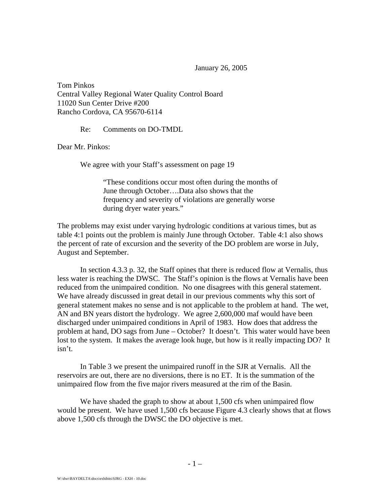January 26, 2005

Tom Pinkos Central Valley Regional Water Quality Control Board 11020 Sun Center Drive #200 Rancho Cordova, CA 95670-6114

Re: Comments on DO-TMDL

Dear Mr. Pinkos:

We agree with your Staff's assessment on page 19

"These conditions occur most often during the months of June through October….Data also shows that the frequency and severity of violations are generally worse during dryer water years."

The problems may exist under varying hydrologic conditions at various times, but as table 4:1 points out the problem is mainly June through October. Table 4:1 also shows the percent of rate of excursion and the severity of the DO problem are worse in July, August and September.

 In section 4.3.3 p. 32, the Staff opines that there is reduced flow at Vernalis, thus less water is reaching the DWSC. The Staff's opinion is the flows at Vernalis have been reduced from the unimpaired condition. No one disagrees with this general statement. We have already discussed in great detail in our previous comments why this sort of general statement makes no sense and is not applicable to the problem at hand. The wet, AN and BN years distort the hydrology. We agree 2,600,000 maf would have been discharged under unimpaired conditions in April of 1983. How does that address the problem at hand, DO sags from June – October? It doesn't. This water would have been lost to the system. It makes the average look huge, but how is it really impacting DO? It isn't.

 In Table 3 we present the unimpaired runoff in the SJR at Vernalis. All the reservoirs are out, there are no diversions, there is no ET. It is the summation of the unimpaired flow from the five major rivers measured at the rim of the Basin.

We have shaded the graph to show at about 1,500 cfs when unimpaired flow would be present. We have used 1,500 cfs because Figure 4.3 clearly shows that at flows above 1,500 cfs through the DWSC the DO objective is met.